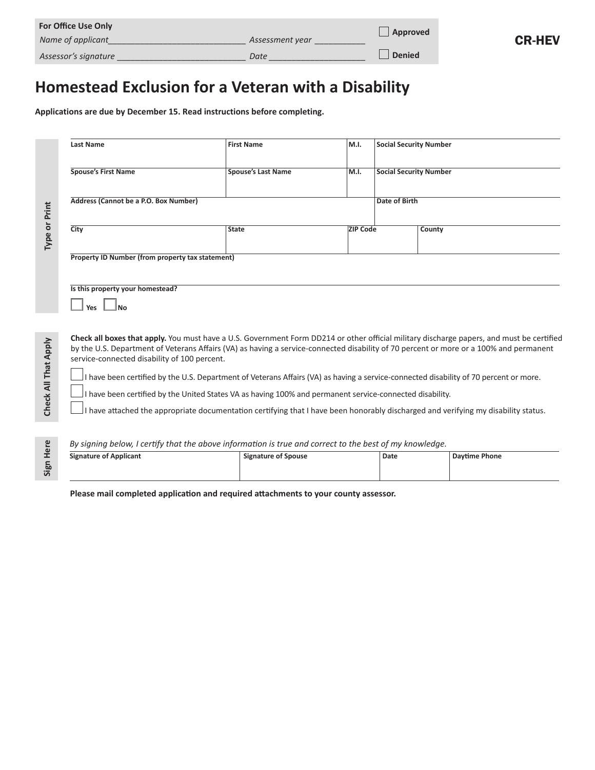| <b>For Office Use Only</b> | Approved        |               |
|----------------------------|-----------------|---------------|
| Name of applicant          | Assessment year |               |
| Assessor's signature       | Date            | <b>Denied</b> |

# **Homestead Exclusion for a Veteran with a Disability**

**Applications are due by December 15. Read instructions before completing.** 

| Type or Print        | <b>Last Name</b>                                                                                                                                                                                                                                                                                                                    | <b>First Name</b>                                                                                                                  | M.I.            | <b>Social Security Number</b> |  |                      |  |
|----------------------|-------------------------------------------------------------------------------------------------------------------------------------------------------------------------------------------------------------------------------------------------------------------------------------------------------------------------------------|------------------------------------------------------------------------------------------------------------------------------------|-----------------|-------------------------------|--|----------------------|--|
|                      | <b>Spouse's First Name</b>                                                                                                                                                                                                                                                                                                          | <b>Spouse's Last Name</b>                                                                                                          | M.I.            | <b>Social Security Number</b> |  |                      |  |
|                      | Address (Cannot be a P.O. Box Number)                                                                                                                                                                                                                                                                                               |                                                                                                                                    |                 | <b>Date of Birth</b>          |  |                      |  |
|                      | City                                                                                                                                                                                                                                                                                                                                | <b>State</b>                                                                                                                       | <b>ZIP Code</b> |                               |  | County               |  |
|                      | Property ID Number (from property tax statement)                                                                                                                                                                                                                                                                                    |                                                                                                                                    |                 |                               |  |                      |  |
|                      | Is this property your homestead?<br>Yes                                                                                                                                                                                                                                                                                             |                                                                                                                                    |                 |                               |  |                      |  |
|                      | Check all boxes that apply. You must have a U.S. Government Form DD214 or other official military discharge papers, and must be certified<br>by the U.S. Department of Veterans Affairs (VA) as having a service-connected disability of 70 percent or more or a 100% and permanent<br>service-connected disability of 100 percent. |                                                                                                                                    |                 |                               |  |                      |  |
| Check All That Apply | I have been certified by the U.S. Department of Veterans Affairs (VA) as having a service-connected disability of 70 percent or more.<br>I have been certified by the United States VA as having 100% and permanent service-connected disability.                                                                                   |                                                                                                                                    |                 |                               |  |                      |  |
|                      |                                                                                                                                                                                                                                                                                                                                     | I have attached the appropriate documentation certifying that I have been honorably discharged and verifying my disability status. |                 |                               |  |                      |  |
|                      | By signing below, I certify that the above information is true and correct to the best of my knowledge.                                                                                                                                                                                                                             |                                                                                                                                    |                 |                               |  |                      |  |
| Sign Here            | <b>Signature of Applicant</b>                                                                                                                                                                                                                                                                                                       | <b>Signature of Spouse</b>                                                                                                         |                 | <b>Date</b>                   |  | <b>Daytime Phone</b> |  |

CR-HEV

#### *By signing below, I certify that the above information is true and correct to the best of my knowledge.*

| <b>Signature of Applicant</b> | <b>Signature of Spouse</b> | Date | <b>Davtime Phone</b> |
|-------------------------------|----------------------------|------|----------------------|
|                               |                            |      |                      |

**Please mail completed application and required attachments to your county assessor.**